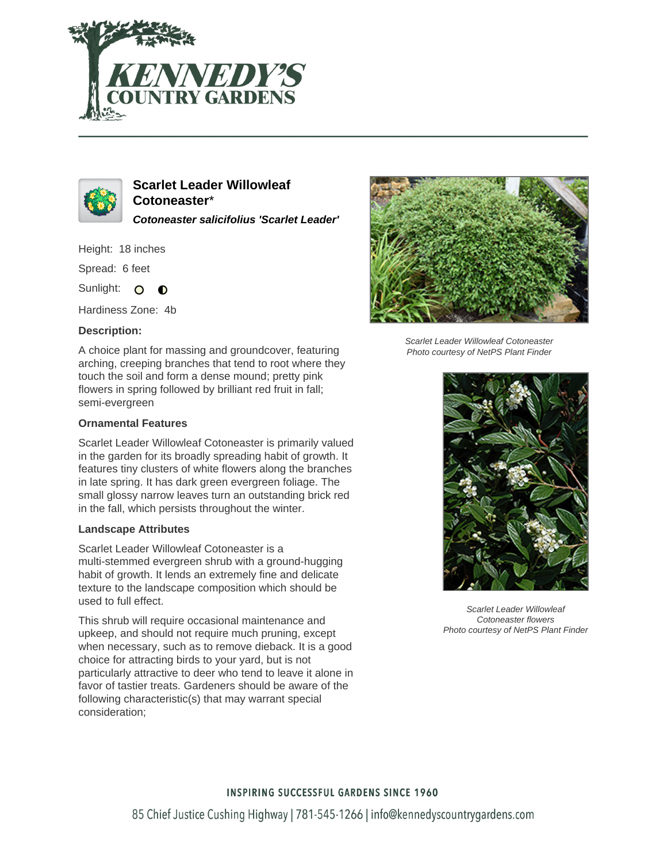



**Scarlet Leader Willowleaf Cotoneaster**\* **Cotoneaster salicifolius 'Scarlet Leader'**

Height: 18 inches

Spread: 6 feet

Sunlight: O  $\bullet$ 

Hardiness Zone: 4b

# **Description:**

A choice plant for massing and groundcover, featuring arching, creeping branches that tend to root where they touch the soil and form a dense mound; pretty pink flowers in spring followed by brilliant red fruit in fall; semi-evergreen

# **Ornamental Features**

Scarlet Leader Willowleaf Cotoneaster is primarily valued in the garden for its broadly spreading habit of growth. It features tiny clusters of white flowers along the branches in late spring. It has dark green evergreen foliage. The small glossy narrow leaves turn an outstanding brick red in the fall, which persists throughout the winter.

## **Landscape Attributes**

Scarlet Leader Willowleaf Cotoneaster is a multi-stemmed evergreen shrub with a ground-hugging habit of growth. It lends an extremely fine and delicate texture to the landscape composition which should be used to full effect.

This shrub will require occasional maintenance and upkeep, and should not require much pruning, except when necessary, such as to remove dieback. It is a good choice for attracting birds to your yard, but is not particularly attractive to deer who tend to leave it alone in favor of tastier treats. Gardeners should be aware of the following characteristic(s) that may warrant special consideration;



Scarlet Leader Willowleaf Cotoneaster Photo courtesy of NetPS Plant Finder



Scarlet Leader Willowleaf Cotoneaster flowers Photo courtesy of NetPS Plant Finder

# **INSPIRING SUCCESSFUL GARDENS SINCE 1960**